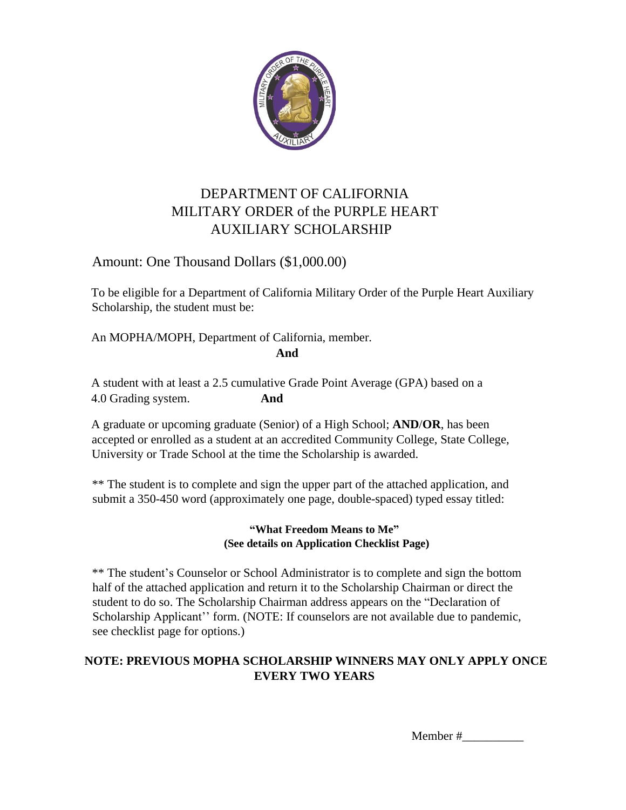

## DEPARTMENT OF CALIFORNIA MILITARY ORDER of the PURPLE HEART AUXILIARY SCHOLARSHIP

### Amount: One Thousand Dollars (\$1,000.00)

To be eligible for a Department of California Military Order of the Purple Heart Auxiliary Scholarship, the student must be:

An MOPHA/MOPH, Department of California, member. **And** 

A student with at least a 2.5 cumulative Grade Point Average (GPA) based on a 4.0 Grading system. **And** 

A graduate or upcoming graduate (Senior) of a High School; **AND**/**OR**, has been accepted or enrolled as a student at an accredited Community College, State College, University or Trade School at the time the Scholarship is awarded.

\*\* The student is to complete and sign the upper part of the attached application, and submit a 350-450 word (approximately one page, double-spaced) typed essay titled:

#### **"What Freedom Means to Me" (See details on Application Checklist Page)**

\*\* The student's Counselor or School Administrator is to complete and sign the bottom half of the attached application and return it to the Scholarship Chairman or direct the student to do so. The Scholarship Chairman address appears on the "Declaration of Scholarship Applicant'' form. (NOTE: If counselors are not available due to pandemic, see checklist page for options.)

#### **NOTE: PREVIOUS MOPHA SCHOLARSHIP WINNERS MAY ONLY APPLY ONCE EVERY TWO YEARS**

Member #\_\_\_\_\_\_\_\_\_\_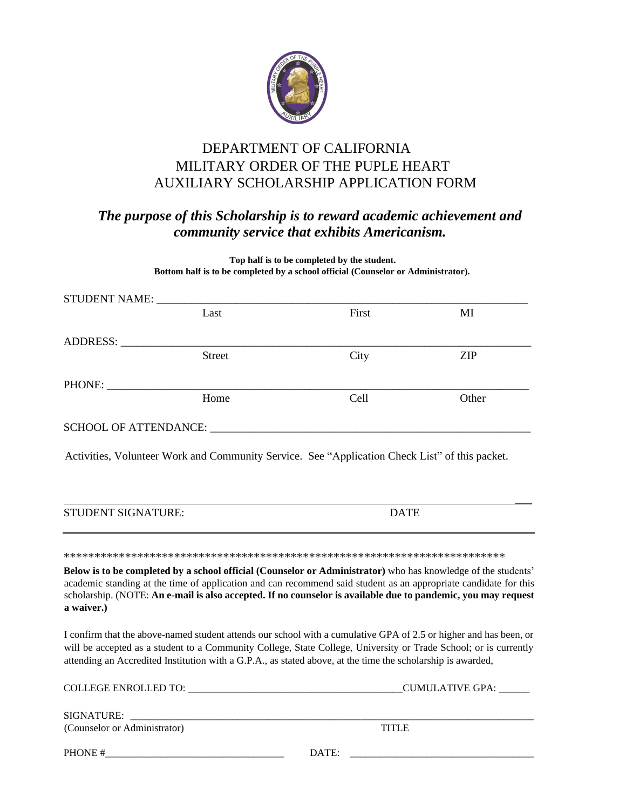

## DEPARTMENT OF CALIFORNIA MILITARY ORDER OF THE PUPLE HEART AUXILIARY SCHOLARSHIP APPLICATION FORM

## *The purpose of this Scholarship is to reward academic achievement and community service that exhibits Americanism.*

**Top half is to be completed by the student. Bottom half is to be completed by a school official (Counselor or Administrator).**

|                                                                                                                                                                                                                                                                                                                                                      | STUDENT NAME: |                                                                                                               |            |  |
|------------------------------------------------------------------------------------------------------------------------------------------------------------------------------------------------------------------------------------------------------------------------------------------------------------------------------------------------------|---------------|---------------------------------------------------------------------------------------------------------------|------------|--|
|                                                                                                                                                                                                                                                                                                                                                      | Last          | First                                                                                                         | MI         |  |
| ADDRESS:                                                                                                                                                                                                                                                                                                                                             |               |                                                                                                               |            |  |
|                                                                                                                                                                                                                                                                                                                                                      | <b>Street</b> | City                                                                                                          | <b>ZIP</b> |  |
| PHONE:                                                                                                                                                                                                                                                                                                                                               |               |                                                                                                               |            |  |
|                                                                                                                                                                                                                                                                                                                                                      | Home          | Cell                                                                                                          | Other      |  |
|                                                                                                                                                                                                                                                                                                                                                      |               |                                                                                                               |            |  |
| Activities, Volunteer Work and Community Service. See "Application Check List" of this packet.                                                                                                                                                                                                                                                       |               |                                                                                                               |            |  |
| <b>STUDENT SIGNATURE:</b>                                                                                                                                                                                                                                                                                                                            |               | <b>DATE</b>                                                                                                   |            |  |
|                                                                                                                                                                                                                                                                                                                                                      |               |                                                                                                               |            |  |
|                                                                                                                                                                                                                                                                                                                                                      |               | Below is to be completed by a school official (Counselor or Administrator) who has knowledge of the students' |            |  |
| academic standing at the time of application and can recommend said student as an appropriate candidate for this<br>scholarship. (NOTE: An e-mail is also accepted. If no counselor is available due to pandemic, you may request<br>a waiver.)                                                                                                      |               |                                                                                                               |            |  |
| I confirm that the above-named student attends our school with a cumulative GPA of 2.5 or higher and has been, or<br>will be accepted as a student to a Community College, State College, University or Trade School; or is currently<br>attending an Accredited Institution with a G.P.A., as stated above, at the time the scholarship is awarded, |               |                                                                                                               |            |  |
|                                                                                                                                                                                                                                                                                                                                                      |               |                                                                                                               |            |  |
|                                                                                                                                                                                                                                                                                                                                                      |               |                                                                                                               |            |  |
| (Counselor or Administrator)                                                                                                                                                                                                                                                                                                                         |               | <b>TITLE</b>                                                                                                  |            |  |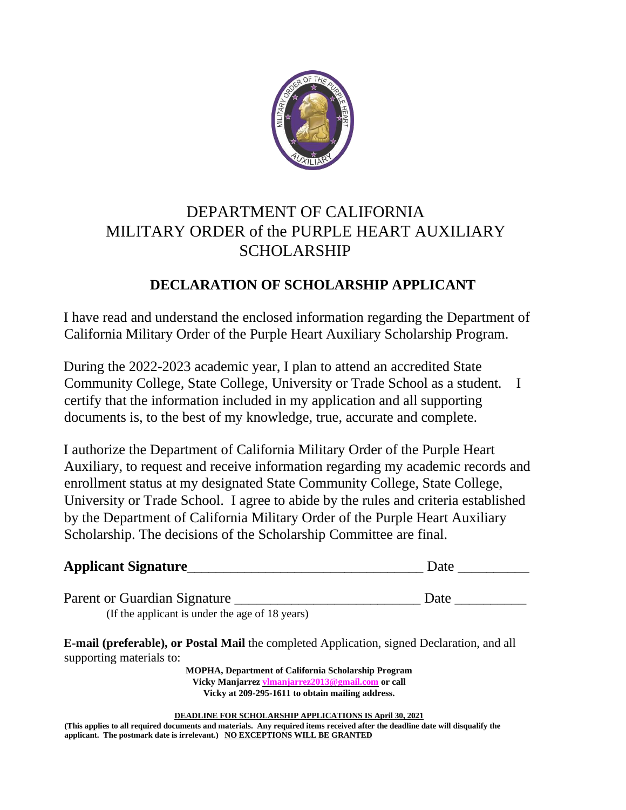

# DEPARTMENT OF CALIFORNIA MILITARY ORDER of the PURPLE HEART AUXILIARY SCHOLARSHIP

## **DECLARATION OF SCHOLARSHIP APPLICANT**

I have read and understand the enclosed information regarding the Department of California Military Order of the Purple Heart Auxiliary Scholarship Program.

During the 2022-2023 academic year, I plan to attend an accredited State Community College, State College, University or Trade School as a student*.* I certify that the information included in my application and all supporting documents is, to the best of my knowledge, true, accurate and complete.

I authorize the Department of California Military Order of the Purple Heart Auxiliary, to request and receive information regarding my academic records and enrollment status at my designated State Community College, State College, University or Trade School. I agree to abide by the rules and criteria established by the Department of California Military Order of the Purple Heart Auxiliary Scholarship. The decisions of the Scholarship Committee are final.

| <b>Applicant Signature</b> |  |  | Date |
|----------------------------|--|--|------|
|                            |  |  |      |
| $\overline{\phantom{a}}$   |  |  | –    |

Parent or Guardian Signature \_\_\_\_\_\_\_\_\_\_\_\_\_\_\_\_\_\_\_\_\_\_\_\_\_\_ Date \_\_\_\_\_\_\_\_\_\_ (If the applicant is under the age of 18 years)

**E-mail (preferable), or Postal Mail** the completed Application, signed Declaration, and all supporting materials to:

> **MOPHA, Department of California Scholarship Program Vicky Manjarrez [vlmanjarrez2013@gmail.com](mailto:vlmanjarrez2013@gmail.com) or call Vicky at 209-295-1611 to obtain mailing address.**

**DEADLINE FOR SCHOLARSHIP APPLICATIONS IS April 30, 2021**

(This applies to all required documents and materials. Any required items received after the deadline date will disqualify the **applicant. The postmark date is irrelevant.) NO EXCEPTIONS WILL BE GRANTED**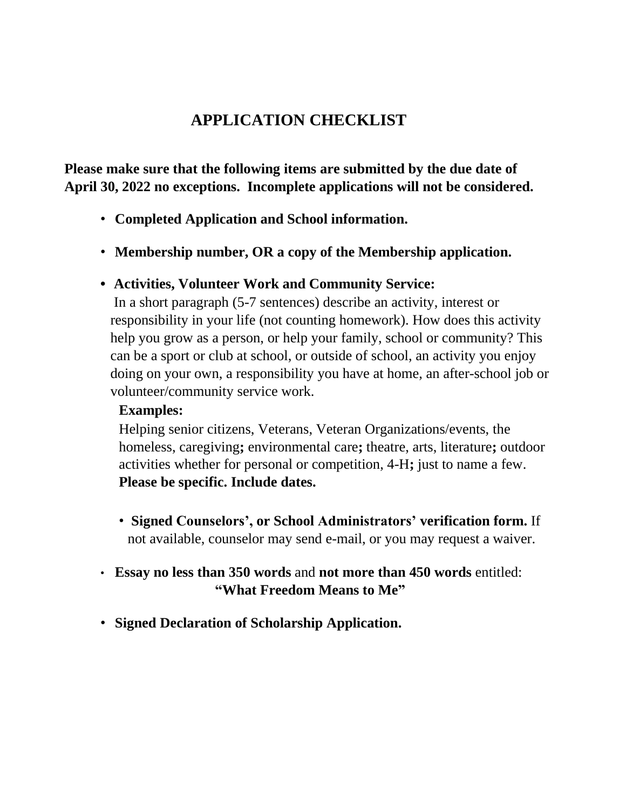# **APPLICATION CHECKLIST**

**Please make sure that the following items are submitted by the due date of April 30, 2022 no exceptions. Incomplete applications will not be considered.**

- **Completed Application and School information.**
- **Membership number, OR a copy of the Membership application.**

### **• Activities, Volunteer Work and Community Service:**

In a short paragraph (5-7 sentences) describe an activity, interest or responsibility in your life (not counting homework). How does this activity help you grow as a person, or help your family, school or community? This can be a sport or club at school, or outside of school, an activity you enjoy doing on your own, a responsibility you have at home, an after-school job or volunteer/community service work.

### **Examples:**

Helping senior citizens, Veterans, Veteran Organizations/events, the homeless, caregiving**;** environmental care**;** theatre, arts, literature**;** outdoor activities whether for personal or competition, 4-H**;** just to name a few. **Please be specific. Include dates.**

- **Signed Counselors', or School Administrators' verification form.** If not available, counselor may send e-mail, or you may request a waiver.
- **Essay no less than 350 words** and **not more than 450 words** entitled:  **"What Freedom Means to Me"**
- **Signed Declaration of Scholarship Application.**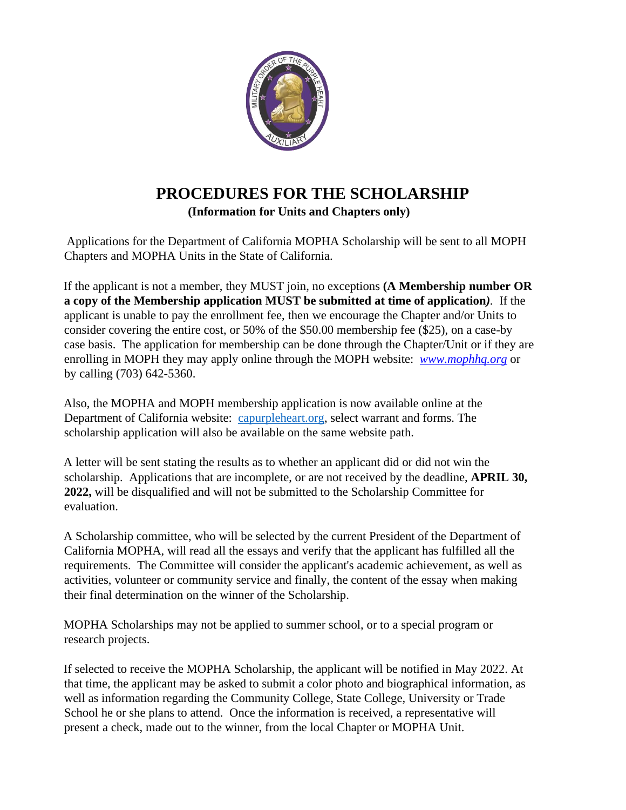

## **PROCEDURES FOR THE SCHOLARSHIP (Information for Units and Chapters only)**

Applications for the Department of California MOPHA Scholarship will be sent to all MOPH Chapters and MOPHA Units in the State of California.

If the applicant is not a member, they MUST join, no exceptions **(A Membership number OR a copy of the Membership application MUST be submitted at time of application***).* If the applicant is unable to pay the enrollment fee, then we encourage the Chapter and/or Units to consider covering the entire cost, or 50% of the \$50.00 membership fee (\$25), on a case-by case basis. The application for membership can be done through the Chapter/Unit or if they are enrolling in MOPH they may apply online through the MOPH website: *[www.mophhq.org](http://www.mophhq.org/)* or by calling (703) 642-5360.

Also, the MOPHA and MOPH membership application is now available online at the Department of California website: capurpleheart.org, select warrant and forms. The scholarship application will also be available on the same website path.

A letter will be sent stating the results as to whether an applicant did or did not win the scholarship. Applications that are incomplete, or are not received by the deadline, **APRIL 30, 2022,** will be disqualified and will not be submitted to the Scholarship Committee for evaluation.

A Scholarship committee, who will be selected by the current President of the Department of California MOPHA, will read all the essays and verify that the applicant has fulfilled all the requirements. The Committee will consider the applicant's academic achievement, as well as activities, volunteer or community service and finally, the content of the essay when making their final determination on the winner of the Scholarship.

MOPHA Scholarships may not be applied to summer school, or to a special program or research projects.

If selected to receive the MOPHA Scholarship, the applicant will be notified in May 2022. At that time, the applicant may be asked to submit a color photo and biographical information, as well as information regarding the Community College, State College, University or Trade School he or she plans to attend. Once the information is received, a representative will present a check, made out to the winner, from the local Chapter or MOPHA Unit.